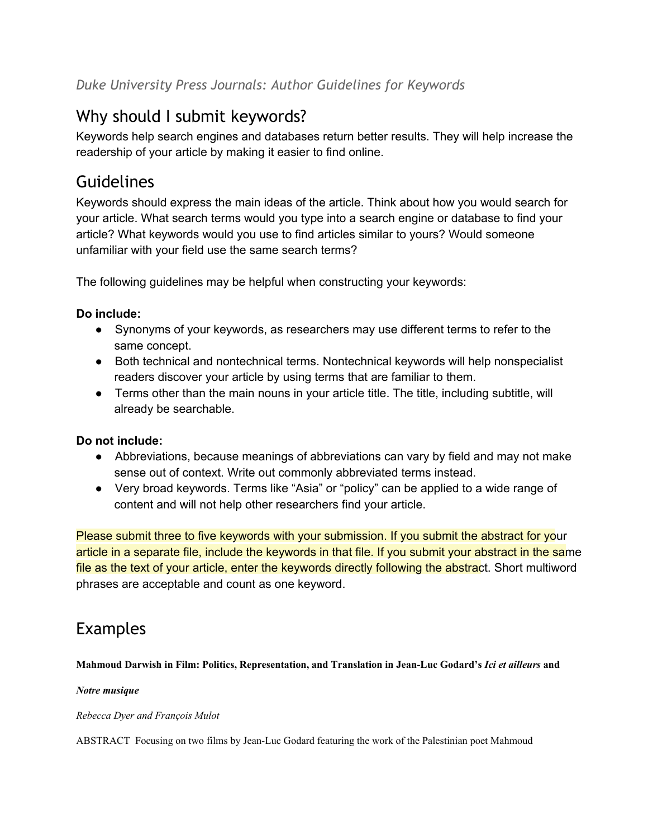# Why should I submit keywords?

Keywords help search engines and databases return better results. They will help increase the readership of your article by making it easier to find online.

# Guidelines

Keywords should express the main ideas of the article. Think about how you would search for your article. What search terms would you type into a search engine or database to find your article? What keywords would you use to find articles similar to yours? Would someone unfamiliar with your field use the same search terms?

The following guidelines may be helpful when constructing your keywords:

### **Do include:**

- Synonyms of your keywords, as researchers may use different terms to refer to the same concept.
- Both technical and nontechnical terms. Nontechnical keywords will help nonspecialist readers discover your article by using terms that are familiar to them.
- Terms other than the main nouns in your article title. The title, including subtitle, will already be searchable.

### **Do not include:**

- Abbreviations, because meanings of abbreviations can vary by field and may not make sense out of context. Write out commonly abbreviated terms instead.
- Very broad keywords. Terms like "Asia" or "policy" can be applied to a wide range of content and will not help other researchers find your article.

Please submit three to five keywords with your submission. If you submit the abstract for your article in a separate file, include the keywords in that file. If you submit your abstract in the same file as the text of your article, enter the keywords directly following the abstract. Short multiword phrases are acceptable and count as one keyword.

## Examples

**Mahmoud Darwish in Film: Politics, Representation, and Translation in JeanLuc Godard's** *Ici et ailleurs* **and**

#### *Notre musique*

#### *Rebecca Dyer and François Mulot*

ABSTRACT Focusing on two films by JeanLuc Godard featuring the work of the Palestinian poet Mahmoud